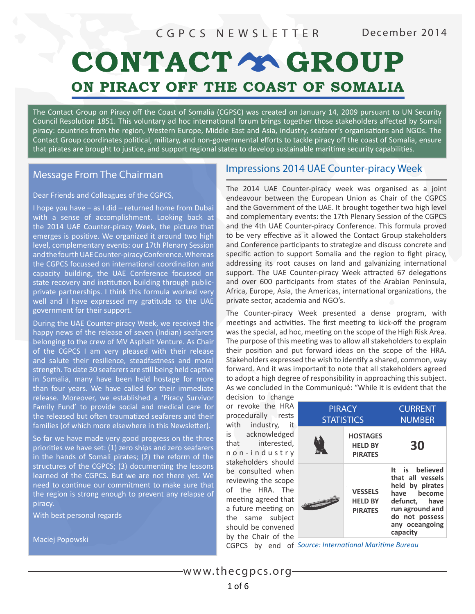# CONTACT Y GROUP ON PIRACY OFF THE COAST OF SOMALIA

The Contact Group on Piracy off the Coast of Somalia (CGPSC) was created on January 14, 2009 pursuant to UN Security Council Resolution 1851. This voluntary ad hoc international forum brings together those stakeholders affected by Somali piracy: countries from the region, Western Europe, Middle East and Asia, industry, seafarer's organisations and NGOs. The Contact Group coordinates political, military, and non-governmental efforts to tackle piracy off the coast of Somalia, ensure that pirates are brought to justice, and support regional states to develop sustainable maritime security capabilities.

### Message From The Chairman

### Dear Friends and Colleagues of the CGPCS,

I hope you have – as I did – returned home from Dubai with a sense of accomplishment. Looking back at the 2014 UAE Counter-piracy Week, the picture that emerges is positve. We organized it around two high level, complementary events: our 17th Plenary Session and the fourth UAE Counter-piracy Conference. Whereas the CGPCS focussed on international coordination and capacity building, the UAE Conference focussed on state recovery and institution building through publicprivate partnerships. I think this formula worked very well and I have expressed my gratitude to the UAE government for their support.

During the UAE Counter-piracy Week, we received the happy news of the release of seven (Indian) seafarers belonging to the crew of MV Asphalt Venture. As Chair of the CGPCS I am very pleased with their release and salute their resilience, steadfastness and moral strength. To date 30 seafarers are still being held captive in Somalia, many have been held hostage for more than four years. We have called for their immediate release. Moreover, we established a 'Piracy Survivor Family Fund' to provide social and medical care for the released but often traumatized seafarers and their families (of which more elsewhere in this Newsletter).

So far we have made very good progress on the three priorites we have set: (1) zero ships and zero seafarers in the hands of Somali pirates; (2) the reform of the structures of the CGPCS; (3) documenting the lessons learned of the CGPCS. But we are not there yet. We need to continue our commitment to make sure that the region is strong enough to prevent any relapse of piracy.

With best personal regards

Maciej Popowski

### Impressions 2014 UAE Counter-piracy Week

The 2014 UAE Counter-piracy week was organised as a joint endeavour between the European Union as Chair of the CGPCS and the Government of the UAE. It brought together two high level and complementary events: the 17th Plenary Session of the CGPCS and the 4th UAE Counter-piracy Conference. This formula proved to be very effective as it allowed the Contact Group stakeholders and Conference participants to strategize and discuss concrete and specific action to support Somalia and the region to fight piracy, addressing its root causes on land and galvanizing international support. The UAE Counter-piracy Week attracted 67 delegations and over 600 participants from states of the Arabian Peninsula, Africa, Europe, Asia, the Americas, international organizations, the private sector, academia and NGO's.

The Counter-piracy Week presented a dense program, with meetings and activities. The first meeting to kick-off the program was the special, ad hoc, meeting on the scope of the High Risk Area. The purpose of this meeting was to allow all stakeholders to explain their positon and put forward ideas on the scope of the HRA. Stakeholders expressed the wish to identify a shared, common, way forward. And it was important to note that all stakeholders agreed to adopt a high degree of responsibility in approaching this subject. As we concluded in the Communiqué: "While it is evident that the

decision to change or revoke the HRA procedurally rests with industry, is acknowledged that interested, n o n - i n d u s t r y stakeholders should be consulted when reviewing the scope of the HRA. The meeting agreed that a future meeting or the same subject should be convened by the Chair of the

| ≘                                                                           |                                    |                                                     |                                                                                                                                                          |
|-----------------------------------------------------------------------------|------------------------------------|-----------------------------------------------------|----------------------------------------------------------------------------------------------------------------------------------------------------------|
| Í<br>Ś<br>t<br>Ł<br>$\overline{ }$<br>ý<br>ł                                | <b>PIRACY</b><br><b>STATISTICS</b> |                                                     | <b>CURRENT</b><br><b>NUMBER</b>                                                                                                                          |
|                                                                             |                                    | <b>HOSTAGES</b><br><b>HELD BY</b><br><b>PIRATES</b> | 30                                                                                                                                                       |
| ٦<br>$\overline{a}$<br>$\overline{c}$<br>t<br>j<br>t<br>ł<br>$\overline{a}$ |                                    | <b>VESSELS</b><br><b>HELD BY</b><br><b>PIRATES</b>  | It is believed<br>that all vessels<br>held by pirates<br>have become<br>defunct, have<br>run aground and<br>do not possess<br>any oceangoing<br>capacity |

CGPCS by end of *Source: Internatonal Maritme Bureau*

<www.thecgpcs.org> 1 of 6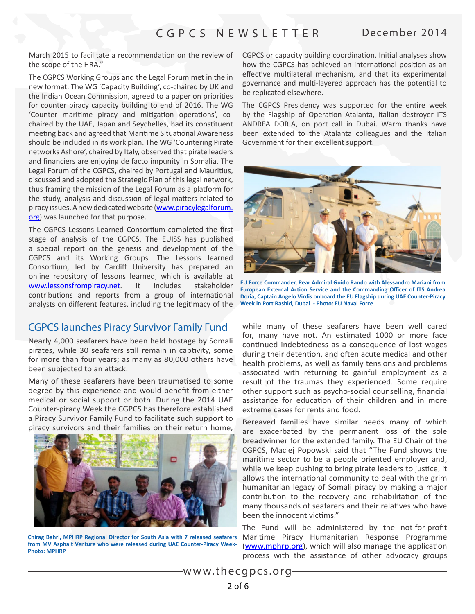March 2015 to facilitate a recommendation on the review of the scope of the HRA."

The CGPCS Working Groups and the Legal Forum met in the in new format. The WG 'Capacity Building', co-chaired by UK and the Indian Ocean Commission, agreed to a paper on priorites for counter piracy capacity building to end of 2016. The WG 'Counter maritime piracy and mitigation operations', cochaired by the UAE, Japan and Seychelles, had its consttuent meeting back and agreed that Maritime Situational Awareness should be included in its work plan. The WG 'Countering Pirate networks Ashore', chaired by Italy, observed that pirate leaders and fnanciers are enjoying de facto impunity in Somalia. The Legal Forum of the CGPCS, chaired by Portugal and Mauritus, discussed and adopted the Strategic Plan of this legal network, thus framing the mission of the Legal Forum as a platform for the study, analysis and discussion of legal matters related to piracy issues. A new dedicated website ([www.piracylegalforum.](http://www.piracylegalforum.org) [org](http://www.piracylegalforum.org)) was launched for that purpose.

The CGPCS Lessons Learned Consortium completed the first stage of analysis of the CGPCS. The EUISS has published a special report on the genesis and development of the CGPCS and its Working Groups. The Lessons learned Consortium, led by Cardiff University has prepared an online repository of lessons learned, which is available at [www.lessonsfrompiracy.net.](http://www.lessonsfrompiracy.net) It includes stakeholder contributions and reports from a group of international analysts on diferent features, including the legitmacy of the

### CGPCS launches Piracy Survivor Family Fund

Nearly 4,000 seafarers have been held hostage by Somali pirates, while 30 seafarers still remain in captivity, some for more than four years; as many as 80,000 others have been subjected to an attack.

Many of these seafarers have been traumatised to some degree by this experience and would beneft from either medical or social support or both. During the 2014 UAE Counter-piracy Week the CGPCS has therefore established a Piracy Survivor Family Fund to facilitate such support to piracy survivors and their families on their return home,



**Chirag Bahri, MPHRP Regional Director for South Asia with 7 released seafarers from MV Asphalt Venture who were released during UAE Counter-Piracy Week-Photo: MPHRP**

CGPCS or capacity building coordination. Initial analyses show how the CGPCS has achieved an international position as an effective multilateral mechanism, and that its experimental governance and mult-layered approach has the potental to be replicated elsewhere.

The CGPCS Presidency was supported for the entre week by the Flagship of Operaton Atalanta, Italian destroyer ITS ANDREA DORIA, on port call in Dubai. Warm thanks have been extended to the Atalanta colleagues and the Italian Government for their excellent support.



**EU Force Commander, Rear Admiral Guido Rando with Alessandro Mariani from European External Action Service and the Commanding Officer of ITS Andrea Doria, Captain Angelo Virdis onboard the EU Flagship during UAE Counter-Piracy Week in Port Rashid, Dubai - Photo: EU Naval Force**

while many of these seafarers have been well cared for, many have not. An estmated 1000 or more face continued indebtedness as a consequence of lost wages during their detention, and often acute medical and other health problems, as well as family tensions and problems associated with returning to gainful employment as a result of the traumas they experienced. Some require other support such as psycho-social counselling, fnancial assistance for education of their children and in more extreme cases for rents and food.

Bereaved families have similar needs many of which are exacerbated by the permanent loss of the sole breadwinner for the extended family. The EU Chair of the CGPCS, Maciej Popowski said that "The Fund shows the maritme sector to be a people oriented employer and, while we keep pushing to bring pirate leaders to justice, it allows the international community to deal with the grim humanitarian legacy of Somali piracy by making a major contribution to the recovery and rehabilitation of the many thousands of seafarers and their relatives who have been the innocent victims."

The Fund will be administered by the not-for-profit Maritme Piracy Humanitarian Response Programme ([www.mphrp.org](http://www.mphrp.org)), which will also manage the application process with the assistance of other advocacy groups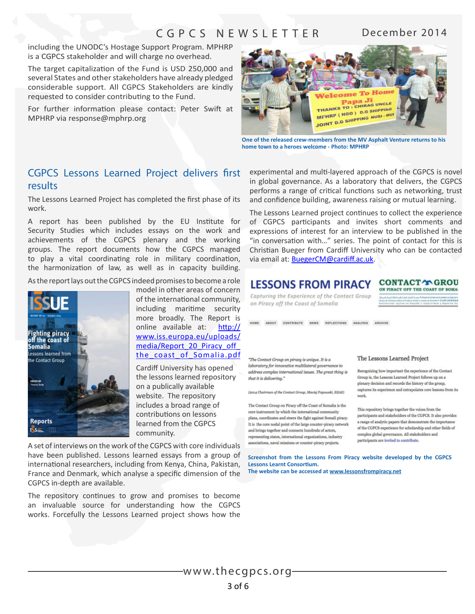including the UNODC's Hostage Support Program. MPHRP is a CGPCS stakeholder and will charge no overhead.

The target capitalizaton of the Fund is USD 250,000 and several States and other stakeholders have already pledged considerable support. All CGPCS Stakeholders are kindly requested to consider contributing to the Fund.

For further information please contact: Peter Swift at MPHRP via response@mphrp.org



**One of the released crew-members from the MV Asphalt Venture returns to his home town to a heroes welcome - Photo: MPHRP**

### CGPCS Lessons Learned Project delivers frst results

The Lessons Learned Project has completed the first phase of its work.

A report has been published by the EU Institute for Security Studies which includes essays on the work and achievements of the CGPCS plenary and the working groups. The report documents how the CGPCS managed to play a vital coordinating role in military coordination, the harmonization of law, as well as in capacity building.

As the report lays out the CGPCS indeed promises to become a role



model in other areas of concern of the international community, including maritme security more broadly. The Report is online available at: [htp://](http://www.iss.europa.eu/uploads/media/Report_20_Piracy_off_the_coast_of_Somalia.pdf) [www.iss.europa.eu/uploads/](http://www.iss.europa.eu/uploads/media/Report_20_Piracy_off_the_coast_of_Somalia.pdf) media/Report 20 Piracy off [the\\_coast\\_of\\_Somalia.pdf](http://www.iss.europa.eu/uploads/media/Report_20_Piracy_off_the_coast_of_Somalia.pdf)

Cardiff University has opened the lessons learned repository on a publically available website. The repository includes a broad range of contributions on lessons learned from the CGPCS community.

A set of interviews on the work of the CGPCS with core individuals have been published. Lessons learned essays from a group of international researchers, including from Kenya, China, Pakistan, France and Denmark, which analyse a specifc dimension of the CGPCS in-depth are available.

The repository continues to grow and promises to become an invaluable source for understanding how the CGPCS works. Forcefully the Lessons Learned project shows how the

experimental and mult-layered approach of the CGPCS is novel in global governance. As a laboratory that delivers, the CGPCS performs a range of critical functions such as networking, trust and confdence building, awareness raising or mutual learning.

The Lessons Learned project continues to collect the experience of CGPCS participants and invites short comments and expressions of interest for an interview to be published in the "in conversaton with…" series. The point of contact for this is Christian Bueger from Cardiff University who can be contacted via email at: **BuegerCM@cardiff.ac.uk.** 

### **CONTACT Y GROU LESSONS FROM PIRACY** ON PIRACY OFF THE COAST OF SOMAL

Capturing the Experience of the Contact Group on Piracy off the Coast of Somalia

HOME ABOUT CONTRIBUTE NEWS REFLECTIONS ANALYSIS ARCHIVE

"The Contact Group on piracy is unique. It is a laboratory for innovative multilateral governance to address complex international issues. The great thing is that it is delivering."

(2014 Chairman of the Contact Group, Maciei Popouski, EEAS)

The Contact Group on Piracy off the Coast of Somalia is the core instrument by which the international community plans, coordinates and steers the fight against Somali piracy. It is the core nodal point of the large counter-piracy network and brings together and connects hundreds of actors, representing states, international organizations, industry associations, naval missions or counter-piracy projects.

### The Lessons Learned Project

Recognizing how important the experience of the Contact Group is, the Lessons Learned Project follows up on a plenary decision and records the history of the group, captures its experience and extrapolates core lessons from its work.

This repository brings together the voices from the participants and stakeholders of the CGPCS. It also provides a range of analytic papers that demonstrate the importance of the CGPCS experience for scholarship and other fields of complex global governance. All stakeholders and participants are invited to contribute.

**Screenshot from the Lessons From Piracy website developed by the CGPCS Lessons Learnt Consortum.** 

**[The website can be accessed at](http://www.lessonsfrompiracy.net) www.lessonsfrompiracy.net**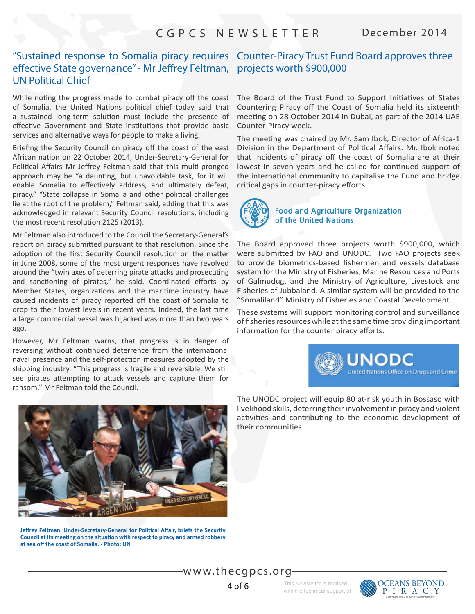### "Sustained response to Somalia piracy requires Counter-Piracy Trust Fund Board approves three efective State governance" - Mr Jefrey Feltman, projects worth \$900,000 UN Political Chief

While noting the progress made to combat piracy off the coast of Somalia, the United Nations political chief today said that a sustained long-term solution must include the presence of effective Government and State institutions that provide basic services and alternative ways for people to make a living.

Briefing the Security Council on piracy off the coast of the east African nation on 22 October 2014, Under-Secretary-General for Political Affairs Mr Jeffrey Feltman said that this multi-pronged approach may be "a daunting, but unavoidable task, for it will enable Somalia to effectively address, and ultimately defeat, piracy." "State collapse in Somalia and other political challenges lie at the root of the problem," Feltman said, adding that this was acknowledged in relevant Security Council resolutions, including the most recent resolution 2125 (2013).

Mr Feltman also introduced to the Council the Secretary-General's report on piracy submitted pursuant to that resolution. Since the adoption of the first Security Council resolution on the matter in June 2008, some of the most urgent responses have revolved around the "twin axes of deterring pirate attacks and prosecuting and sanctioning of pirates," he said. Coordinated efforts by Member States, organizations and the maritime industry have caused incidents of piracy reported off the coast of Somalia to drop to their lowest levels in recent years. Indeed, the last tme a large commercial vessel was hijacked was more than two years ago.

However, Mr Feltman warns, that progress is in danger of reversing without continued deterrence from the international naval presence and the self-protection measures adopted by the shipping industry. "This progress is fragile and reversible. We still see pirates attempting to attack vessels and capture them for ransom," Mr Feltman told the Council.



**Jeffrey Feltman, Under-Secretary-General for Political Affair, briefs the Security** Council at its meeting on the situation with respect to piracy and armed robbery **at sea of the coast of Somalia. - Photo: UN**

The Board of the Trust Fund to Support Initiatives of States Countering Piracy off the Coast of Somalia held its sixteenth meeting on 28 October 2014 in Dubai, as part of the 2014 UAE Counter-Piracy week.

The meeting was chaired by Mr. Sam Ibok, Director of Africa-1 Division in the Department of Political Affairs. Mr. Ibok noted that incidents of piracy off the coast of Somalia are at their lowest in seven years and he called for continued support of the international community to capitalise the Fund and bridge critical gaps in counter-piracy efforts.



### **Food and Agriculture Organization** of the United Nations

The Board approved three projects worth \$900,000, which were submited by FAO and UNODC. Two FAO projects seek to provide biometrics-based fshermen and vessels database system for the Ministry of Fisheries, Marine Resources and Ports of Galmudug, and the Ministry of Agriculture, Livestock and Fisheries of Jubbaland. A similar system will be provided to the "Somaliland" Ministry of Fisheries and Coastal Development.

These systems will support monitoring control and surveillance of fisheries resources while at the same time providing important information for the counter piracy efforts.



The UNODC project will equip 80 at-risk youth in Bossaso with livelihood skills, deterring their involvement in piracy and violent activities and contributing to the economic development of their communites.



4 of 6

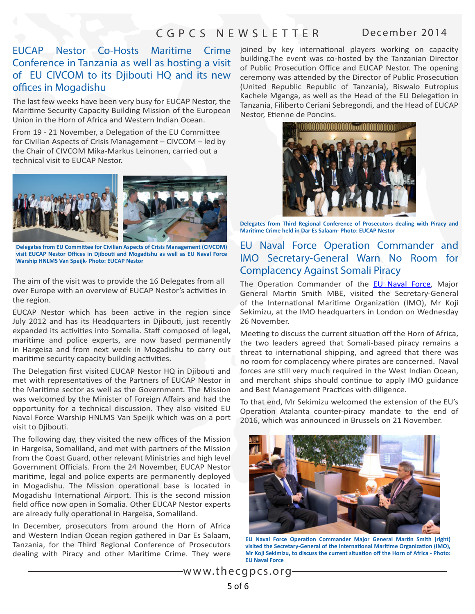# EUCAP Nestor Co-Hosts Conference in Tanzania as well as hosting a visit of EU CIVCOM to its Djibouti HQ and its new offices in Mogadishu

The last few weeks have been very busy for EUCAP Nestor, the Maritme Security Capacity Building Mission of the European Union in the Horn of Africa and Western Indian Ocean.

From 19 - 21 November, a Delegation of the EU Committee for Civilian Aspects of Crisis Management – CIVCOM – led by the Chair of CIVCOM Mika-Markus Leinonen, carried out a technical visit to EUCAP Nestor.



**Delegates from EU Commitee for Civilian Aspects of Crisis Management (CIVCOM)**  visit EUCAP Nestor Offices in Djibouti and Mogadishu as well as EU Naval Force **Warship HNLMS Van Speijk- Photo: EUCAP Nestor**

The aim of the visit was to provide the 16 Delegates from all over Europe with an overview of EUCAP Nestor's activities in the region.

EUCAP Nestor which has been active in the region since July 2012 and has its Headquarters in Djibouti, just recently expanded its activities into Somalia. Staff composed of legal, maritme and police experts, are now based permanently in Hargeisa and from next week in Mogadishu to carry out maritime security capacity building activities.

The Delegation first visited EUCAP Nestor HQ in Djibouti and met with representatves of the Partners of EUCAP Nestor in the Maritme sector as well as the Government. The Mission was welcomed by the Minister of Foreign Affairs and had the opportunity for a technical discussion. They also visited EU Naval Force Warship HNLMS Van Speijk which was on a port visit to Djibout.

The following day, they visited the new offices of the Mission in Hargeisa, Somaliland, and met with partners of the Mission from the Coast Guard, other relevant Ministries and high level Government Officials. From the 24 November, EUCAP Nestor maritme, legal and police experts are permanently deployed in Mogadishu. The Mission operational base is located in Mogadishu International Airport. This is the second mission field office now open in Somalia. Other EUCAP Nestor experts are already fully operational in Hargeisa, Somaliland.

In December, prosecutors from around the Horn of Africa and Western Indian Ocean region gathered in Dar Es Salaam, Tanzania, for the Third Regional Conference of Prosecutors dealing with Piracy and other Maritme Crime. They were

Maritime Crime joined by key international players working on capacity building.The event was co-hosted by the Tanzanian Director of Public Prosecution Office and EUCAP Nestor. The opening ceremony was atended by the Director of Public Prosecuton (United Republic Republic of Tanzania), Biswalo Eutropius Kachele Mganga, as well as the Head of the EU Delegaton in Tanzania, Filiberto Ceriani Sebregondi, and the Head of EUCAP Nestor, Etienne de Poncins.



**Delegates from Third Regional Conference of Prosecutors dealing with Piracy and Maritme Crime held in Dar Es Salaam- Photo: EUCAP Nestor**

### EU Naval Force Operation Commander and IMO Secretary-General Warn No Room for Complacency Against Somali Piracy

The Operation Commander of the [EU Naval Force](http://eunavfor.eu/), Major General Martin Smith MBE, visited the Secretary-General of the International Maritime Organization (IMO), Mr Koji Sekimizu, at the IMO headquarters in London on Wednesday 26 November.

Meeting to discuss the current situation off the Horn of Africa, the two leaders agreed that Somali-based piracy remains a threat to international shipping, and agreed that there was no room for complacency where pirates are concerned. Naval forces are still very much required in the West Indian Ocean, and merchant ships should contnue to apply IMO guidance and Best Management Practices with diligence.

To that end, Mr Sekimizu welcomed the extension of the EU's Operation Atalanta counter-piracy mandate to the end of 2016, which was announced in Brussels on 21 November.



**EU Naval Force Operation Commander Major General Martin Smith (right)** visited the Secretary-General of the International Maritime Organization (IMO), **Mr Koji Sekimizu, to discuss the current situaton of the Horn of Africa - Photo: EU Naval Force**

<www.thecgpcs.org> 5 of 6